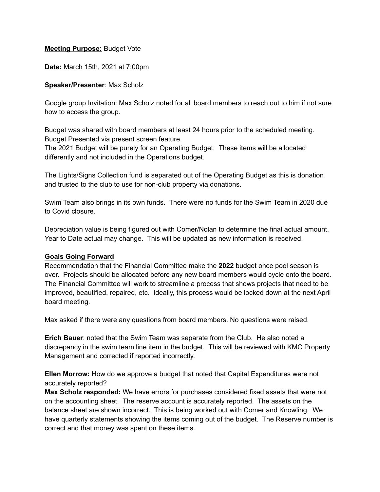# **Meeting Purpose:** Budget Vote

**Date:** March 15th, 2021 at 7:00pm

## **Speaker/Presenter**: Max Scholz

Google group Invitation: Max Scholz noted for all board members to reach out to him if not sure how to access the group.

Budget was shared with board members at least 24 hours prior to the scheduled meeting. Budget Presented via present screen feature.

The 2021 Budget will be purely for an Operating Budget. These items will be allocated differently and not included in the Operations budget.

The Lights/Signs Collection fund is separated out of the Operating Budget as this is donation and trusted to the club to use for non-club property via donations.

Swim Team also brings in its own funds. There were no funds for the Swim Team in 2020 due to Covid closure.

Depreciation value is being figured out with Comer/Nolan to determine the final actual amount. Year to Date actual may change. This will be updated as new information is received.

### **Goals Going Forward**

Recommendation that the Financial Committee make the **2022** budget once pool season is over. Projects should be allocated before any new board members would cycle onto the board. The Financial Committee will work to streamline a process that shows projects that need to be improved, beautified, repaired, etc. Ideally, this process would be locked down at the next April board meeting.

Max asked if there were any questions from board members. No questions were raised.

**Erich Bauer**: noted that the Swim Team was separate from the Club. He also noted a discrepancy in the swim team line item in the budget. This will be reviewed with KMC Property Management and corrected if reported incorrectly.

**Ellen Morrow:** How do we approve a budget that noted that Capital Expenditures were not accurately reported?

**Max Scholz responded:** We have errors for purchases considered fixed assets that were not on the accounting sheet. The reserve account is accurately reported. The assets on the balance sheet are shown incorrect. This is being worked out with Comer and Knowling. We have quarterly statements showing the items coming out of the budget. The Reserve number is correct and that money was spent on these items.